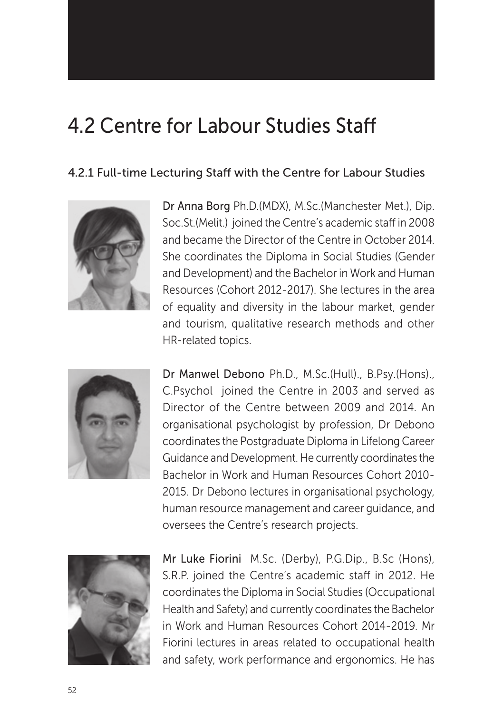# 4.2 Centre for Labour Studies Staff

### 4.2.1 Full-time Lecturing Staff with the Centre for Labour Studies



Dr Anna Borg Ph.D.(MDX), M.Sc.(Manchester Met.), Dip. Soc.St.(Melit.) joined the Centre's academic staff in 2008 and became the Director of the Centre in October 2014. She coordinates the Diploma in Social Studies (Gender and Development) and the Bachelor in Work and Human Resources (Cohort 2012-2017). She lectures in the area of equality and diversity in the labour market, gender and tourism, qualitative research methods and other HR-related topics.



Dr Manwel Debono Ph.D., M.Sc.(Hull)., B.Psy.(Hons)., C.Psychol joined the Centre in 2003 and served as Director of the Centre between 2009 and 2014. An organisational psychologist by profession, Dr Debono coordinates the Postgraduate Diploma in Lifelong Career Guidance and Development. He currently coordinates the Bachelor in Work and Human Resources Cohort 2010- 2015. Dr Debono lectures in organisational psychology, human resource management and career guidance, and oversees the Centre's research projects.



Mr Luke Fiorini M.Sc. (Derby), P.G.Dip., B.Sc (Hons), S.R.P. joined the Centre's academic staff in 2012. He coordinates the Diploma in Social Studies (Occupational Health and Safety) and currently coordinates the Bachelor in Work and Human Resources Cohort 2014-2019. Mr Fiorini lectures in areas related to occupational health and safety, work performance and ergonomics. He has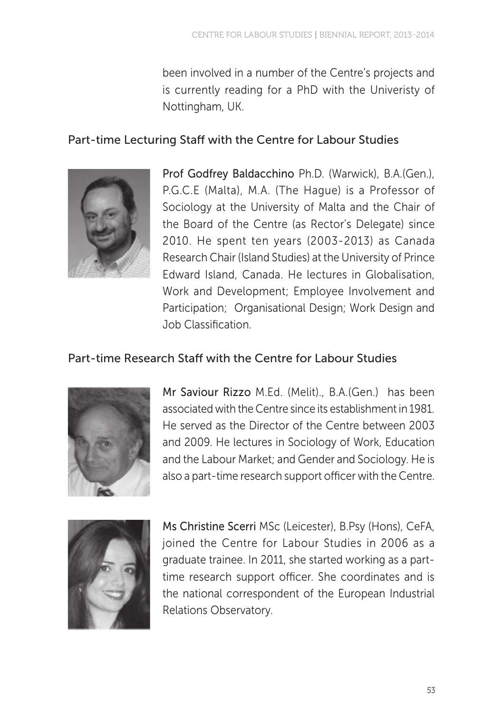been involved in a number of the Centre's projects and is currently reading for a PhD with the Univeristy of Nottingham, UK.

### Part-time Lecturing Staff with the Centre for Labour Studies



Prof Godfrey Baldacchino Ph.D. (Warwick), B.A.(Gen.), P.G.C.E (Malta), M.A. (The Hague) is a Professor of Sociology at the University of Malta and the Chair of the Board of the Centre (as Rector's Delegate) since 2010. He spent ten years (2003-2013) as Canada Research Chair (Island Studies) at the University of Prince Edward Island, Canada. He lectures in Globalisation, Work and Development; Employee Involvement and Participation; Organisational Design; Work Design and Job Classification.

## Part-time Research Staff with the Centre for Labour Studies



Mr Saviour Rizzo M.Ed. (Melit)., B.A.(Gen.) has been associated with the Centre since its establishment in 1981. He served as the Director of the Centre between 2003 and 2009. He lectures in Sociology of Work, Education and the Labour Market; and Gender and Sociology. He is also a part-time research support officer with the Centre.



Ms Christine Scerri MSc (Leicester), B.Psy (Hons), CeFA, joined the Centre for Labour Studies in 2006 as a graduate trainee. In 2011, she started working as a parttime research support officer. She coordinates and is the national correspondent of the European Industrial Relations Observatory.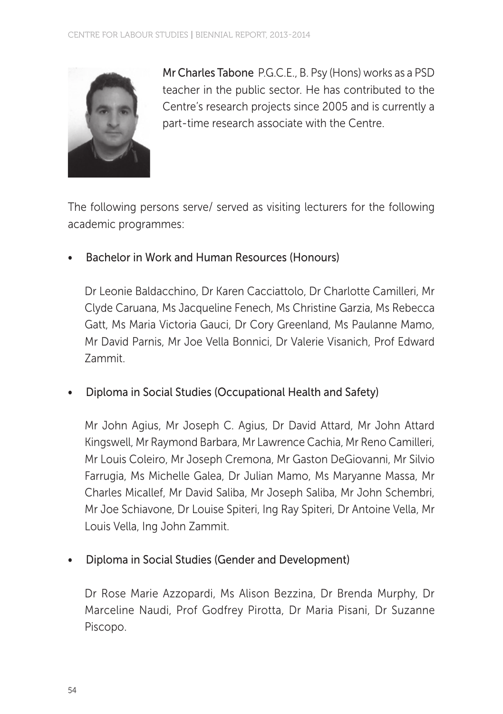

Mr Charles Tabone P.G.C.E., B. Psy (Hons) works as a PSD teacher in the public sector. He has contributed to the Centre's research projects since 2005 and is currently a part-time research associate with the Centre.

The following persons serve/ served as visiting lecturers for the following academic programmes:

Bachelor in Work and Human Resources (Honours)

Dr Leonie Baldacchino, Dr Karen Cacciattolo, Dr Charlotte Camilleri, Mr Clyde Caruana, Ms Jacqueline Fenech, Ms Christine Garzia, Ms Rebecca Gatt, Ms Maria Victoria Gauci, Dr Cory Greenland, Ms Paulanne Mamo, Mr David Parnis, Mr Joe Vella Bonnici, Dr Valerie Visanich, Prof Edward Zammit.

• Diploma in Social Studies (Occupational Health and Safety)

Mr John Agius, Mr Joseph C. Agius, Dr David Attard, Mr John Attard Kingswell, Mr Raymond Barbara, Mr Lawrence Cachia, Mr Reno Camilleri, Mr Louis Coleiro, Mr Joseph Cremona, Mr Gaston DeGiovanni, Mr Silvio Farrugia, Ms Michelle Galea, Dr Julian Mamo, Ms Maryanne Massa, Mr Charles Micallef, Mr David Saliba, Mr Joseph Saliba, Mr John Schembri, Mr Joe Schiavone, Dr Louise Spiteri, Ing Ray Spiteri, Dr Antoine Vella, Mr Louis Vella, Ing John Zammit.

• Diploma in Social Studies (Gender and Development)

Dr Rose Marie Azzopardi, Ms Alison Bezzina, Dr Brenda Murphy, Dr Marceline Naudi, Prof Godfrey Pirotta, Dr Maria Pisani, Dr Suzanne Piscopo.